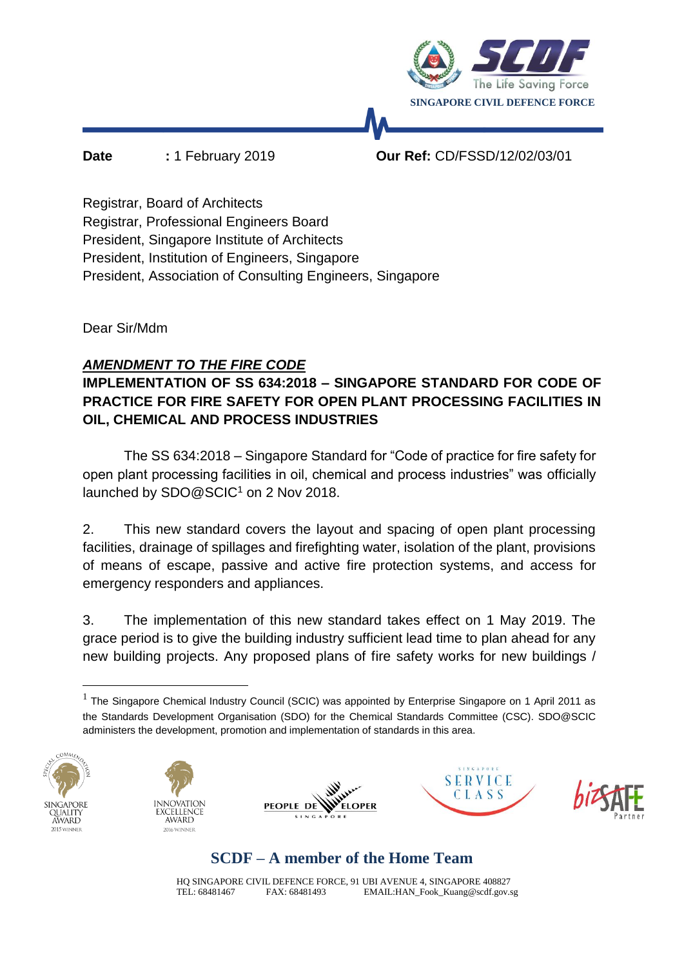

**Date :** 1 February 2019 **Our Ref:** CD/FSSD/12/02/03/01

Registrar, Board of Architects Registrar, Professional Engineers Board President, Singapore Institute of Architects President, Institution of Engineers, Singapore President, Association of Consulting Engineers, Singapore

Dear Sir/Mdm

### *AMENDMENT TO THE FIRE CODE*

### **IMPLEMENTATION OF SS 634:2018 – SINGAPORE STANDARD FOR CODE OF PRACTICE FOR FIRE SAFETY FOR OPEN PLANT PROCESSING FACILITIES IN OIL, CHEMICAL AND PROCESS INDUSTRIES**

The SS 634:2018 – Singapore Standard for "Code of practice for fire safety for open plant processing facilities in oil, chemical and process industries" was officially launched by SDO@SCIC<sup>1</sup> on 2 Nov 2018.

2. This new standard covers the layout and spacing of open plant processing facilities, drainage of spillages and firefighting water, isolation of the plant, provisions of means of escape, passive and active fire protection systems, and access for emergency responders and appliances.

3. The implementation of this new standard takes effect on 1 May 2019. The grace period is to give the building industry sufficient lead time to plan ahead for any new building projects. Any proposed plans of fire safety works for new buildings /

<sup>&</sup>lt;sup>1</sup> The Singapore Chemical Industry Council (SCIC) was appointed by Enterprise Singapore on 1 April 2011 as the Standards Development Organisation (SDO) for the Chemical Standards Committee (CSC). SDO@SCIC administers the development, promotion and implementation of standards in this area.





**PEOPLE DE ELOPER** 





# **SCDF – A member of the Home Team**

HQ SINGAPORE CIVIL DEFENCE FORCE, 91 UBI AVENUE 4, SINGAPORE 408827 TEL: 68481467 FAX: 68481493 EMAIL:HAN\_Fook\_Kuang@scdf.gov.sg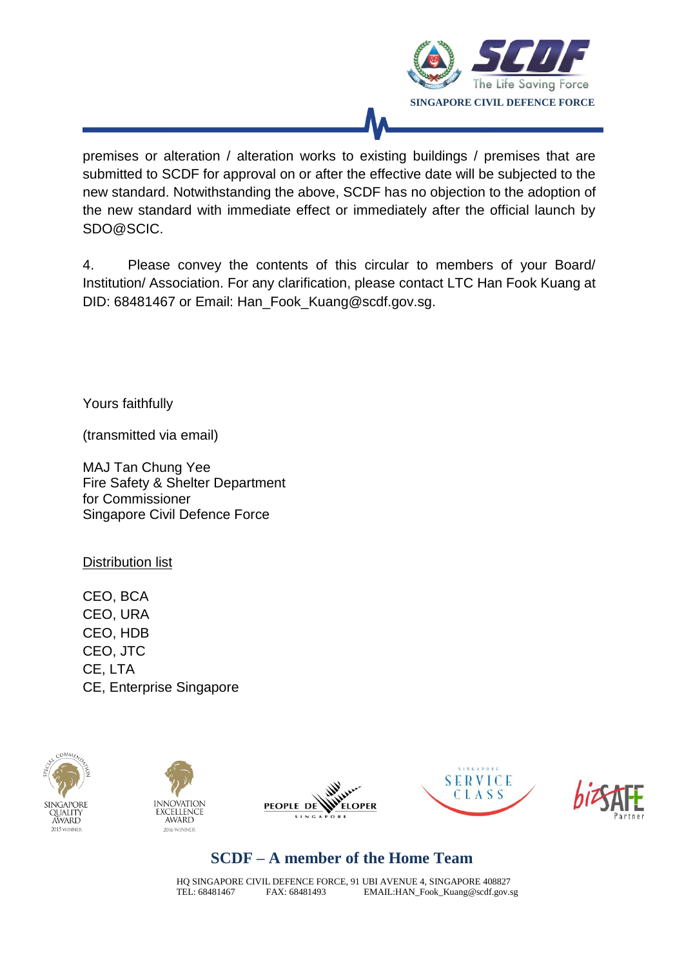

premises or alteration / alteration works to existing buildings / premises that are submitted to SCDF for approval on or after the effective date will be subjected to the new standard. Notwithstanding the above, SCDF has no objection to the adoption of the new standard with immediate effect or immediately after the official launch by SDO@SCIC.

4. Please convey the contents of this circular to members of your Board/ Institution/ Association. For any clarification, please contact LTC Han Fook Kuang at DID: 68481467 or Email: Han\_Fook\_Kuang@scdf.gov.sg.

Yours faithfully

(transmitted via email)

MAJ Tan Chung Yee Fire Safety & Shelter Department for Commissioner Singapore Civil Defence Force

Distribution list

CEO, BCA CEO, URA CEO, HDB CEO, JTC CE, LTA CE, Enterprise Singapore











# **SCDF – A member of the Home Team**

HQ SINGAPORE CIVIL DEFENCE FORCE, 91 UBI AVENUE 4, SINGAPORE 408827 TEL: 68481467 FAX: 68481493 EMAIL:HAN\_Fook\_Kuang@scdf.gov.sg